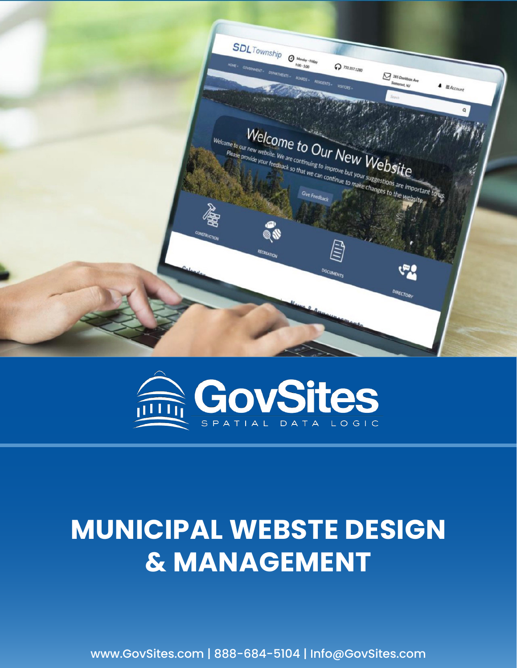



# **MUNICIPAL WEBSTE DESIGN & MANAGEMENT**

www.GovSites.com | 888-684-5104 | Info@GovSites.com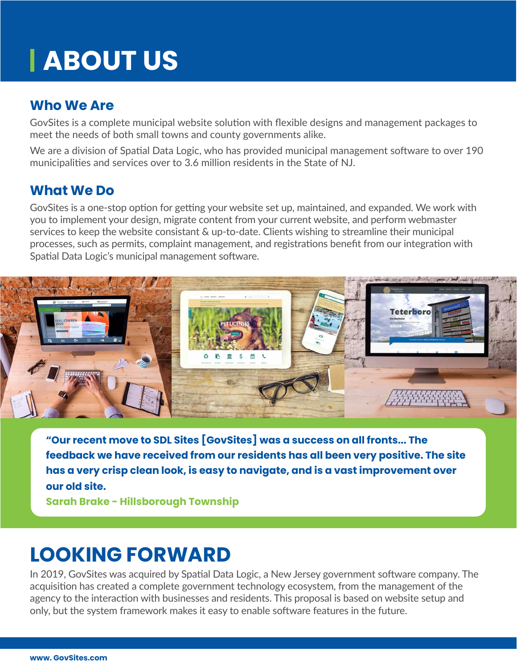# **ABOUT US**

### **Who We Are**

GovSites is a complete municipal website solution with flexible designs and management packages to meet the needs of both small towns and county governments alike.

We are a division of Spatial Data Logic, who has provided municipal management software to over 190 municipalities and services over to 3.6 million residents in the State of NJ.

#### **What We Do**

GovSites is a one-stop option for getting your website set up, maintained, and expanded. We work with you to implement your design, migrate content from your current website, and perform webmaster services to keep the website consistant & up-to-date. Clients wishing to streamline their municipal processes, such as permits, complaint management, and registrations benefit from our integration with Spatial Data Logic's municipal management software.



**"Our recent move to SDL Sites [GovSites] was a success on all fronts... The feedback we have received from our residents has all been very positive. The site has a very crisp clean look, is easy to navigate, and is a vast improvement over our old site.** 

**Sarah Brake - Hillsborough Township**

### **LOOKING FORWARD**

In 2019, GovSites was acquired by Spatial Data Logic, a New Jersey government software company. The acquisition has created a complete government technology ecosystem, from the management of the agency to the interaction with businesses and residents. This proposal is based on website setup and only, but the system framework makes it easy to enable software features in the future.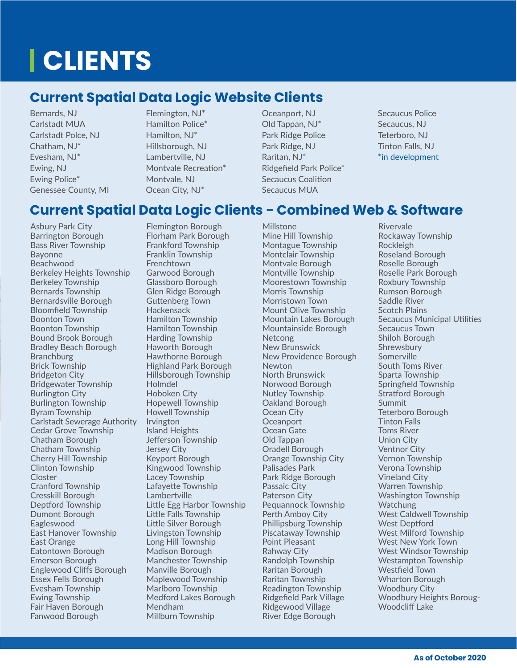# **CLIENTS**

### **Current Spatial Data Logic Website Clients**

Bernards, NJ Carlstadt MUA Carlstadt Polce, NJ Chatham, NJ\* Evesham, NJ\* Ewing, NJ Ewing Police\* Genessee County, MI Flemington, NJ\* Hamilton Police\* Hamilton, NJ\* Hillsborough, NJ Lambertville, NJ Montvale Recreation\* Montvale, NJ Ocean City, NJ\*

#### Oceanport, NJ Old Tappan, NJ\* Park Ridge Police Park Ridge, NJ Raritan, NJ\* Ridgefield Park Police\* Secaucus Coalition

Secaucus MUA

Millstone

Secaucus Police Secaucus, NJ Teterboro, NJ Tinton Falls, NJ \*in development

### **Current Spatial Data Logic Clients - Combined Web & Software**

Asbury Park City Barrington Borough Bass River Township Bayonne Beachwood Berkeley Heights Township Berkeley Township Bernards Township Bernardsville Borough Bloomfield Township Boonton Town Boonton Township Bound Brook Borough Bradley Beach Borough **Branchburg** Brick Township Bridgeton City Bridgewater Township Burlington City Burlington Township Byram Township Carlstadt Sewerage Authority Cedar Grove Township Chatham Borough Chatham Township Cherry Hill Township Clinton Township Closter Cranford Township Cresskill Borough Deptford Township Dumont Borough **Eagleswood** East Hanover Township East Orange Eatontown Borough Emerson Borough Englewood Cliffs Borough Essex Fells Borough Evesham Township Ewing Township Fair Haven Borough Fanwood Borough

Flemington Borough Florham Park Borough Frankford Township Franklin Township Frenchtown Garwood Borough Glassboro Borough Glen Ridge Borough Guttenberg Town Hackensack Hamilton Township Hamilton Township Harding Township Haworth Borough Hawthorne Borough Highland Park Borough Hillsborough Township Holmdel Hoboken City Hopewell Township Howell Township Irvington Island Heights Jefferson Township Jersey City Keyport Borough Kingwood Township Lacey Township Lafayette Township Lambertville Little Egg Harbor Township Little Falls Township Little Silver Borough Livingston Township Long Hill Township Madison Borough Manchester Township Manville Borough Maplewood Township Marlboro Township Medford Lakes Borough Mendham Millburn Township

Mine Hill Township Montague Township Montclair Township Montvale Borough Montville Township Moorestown Township Morris Township Morristown Town Mount Olive Township Mountain Lakes Borough Mountainside Borough Netcong New Brunswick New Providence Borough Newton North Brunswick Norwood Borough Nutley Township Oakland Borough Ocean City **Oceanport** Ocean Gate Old Tappan Oradell Borough Orange Township City Palisades Park Park Ridge Borough Passaic City Paterson City Pequannock Township Perth Amboy City Phillipsburg Township Piscataway Township Point Pleasant Rahway City Randolph Township Raritan Borough Raritan Township Readington Township Ridgefield Park Village Ridgewood Village River Edge Borough

Rivervale Rockaway Township Rockleigh Roseland Borough Roselle Borough Roselle Park Borough Roxbury Township Rumson Borough Saddle River Scotch Plains Secaucus Municipal Utilities Secaucus Town Shiloh Borough Shrewsbury Somerville South Toms River Sparta Township Springfield Township Stratford Borough Summit Teterboro Borough Tinton Falls Toms River Union City Ventnor City Vernon Township Verona Township Vineland City Warren Township Washington Township Watchung West Caldwell Township West Deptford West Milford Township West New York Town West Windsor Township Westampton Township Westfield Town Wharton Borough Woodbury City Woodbury Heights Boroug-Woodcliff Lake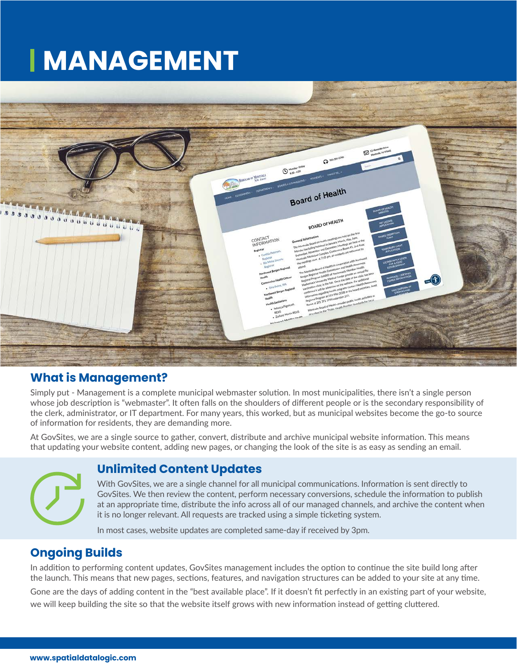## **MANAGEMENT**



#### **What is Management?**

Simply put - Management is a complete municipal webmaster solution. In most municipalities, there isn't a single person whose job description is "webmaster". It often falls on the shoulders of different people or is the secondary responsibility of the clerk, administrator, or IT department. For many years, this worked, but as municipal websites become the go-to source of information for residents, they are demanding more.

At GovSites, we are a single source to gather, convert, distribute and archive municipal website information. This means that updating your website content, adding new pages, or changing the look of the site is as easy as sending an email.

## **Unlimited Content Updates**

With GovSites, we are a single channel for all municipal communications. Information is sent directly to GovSites. We then review the content, perform necessary conversions, schedule the information to publish at an appropriate time, distribute the info across all of our managed channels, and archive the content when it is no longer relevant. All requests are tracked using a simple ticketing system.

In most cases, website updates are completed same-day if received by 3pm.

#### **Ongoing Builds**

In addition to performing content updates, GovSites management includes the option to continue the site build long after the launch. This means that new pages, sections, features, and navigation structures can be added to your site at any time.

Gone are the days of adding content in the "best available place". If it doesn't fit perfectly in an existing part of your website, we will keep building the site so that the website itself grows with new information instead of getting cluttered.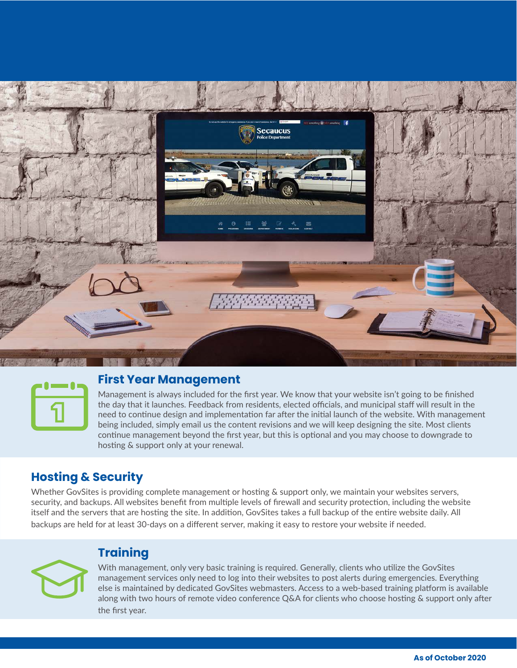



#### **First Year Management**

Management is always included for the first year. We know that your website isn't going to be finished the day that it launches. Feedback from residents, elected officials, and municipal staff will result in the need to continue design and implementation far after the initial launch of the website. With management being included, simply email us the content revisions and we will keep designing the site. Most clients continue management beyond the first year, but this is optional and you may choose to downgrade to hosting & support only at your renewal.

#### **Hosting & Security**

Whether GovSites is providing complete management or hosting & support only, we maintain your websites servers, security, and backups. All websites benefit from multiple levels of firewall and security protection, including the website itself and the servers that are hosting the site. In addition, GovSites takes a full backup of the entire website daily. All backups are held for at least 30-days on a different server, making it easy to restore your website if needed.

#### **Training**

With management, only very basic training is required. Generally, clients who utilize the GovSites management services only need to log into their websites to post alerts during emergencies. Everything else is maintained by dedicated GovSites webmasters. Access to a web-based training platform is available along with two hours of remote video conference Q&A for clients who choose hosting & support only after the first year.